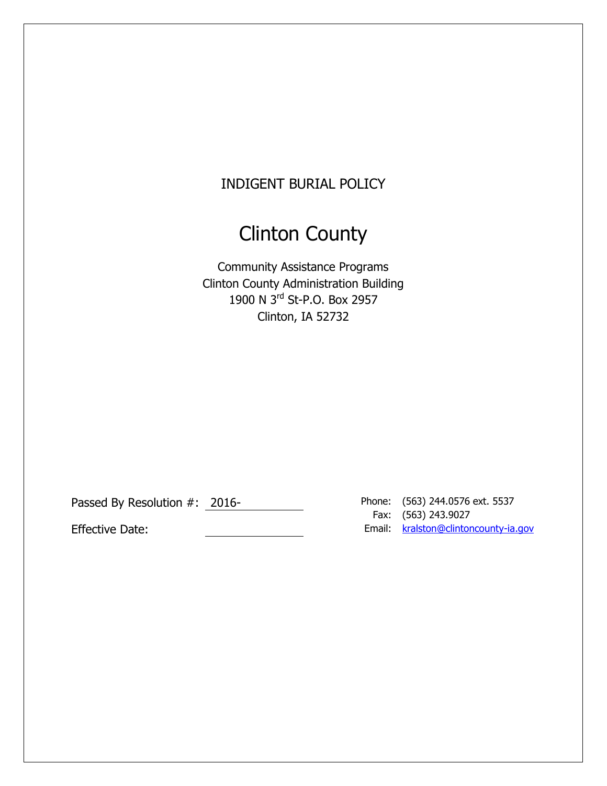# INDIGENT BURIAL POLICY

# Clinton County

Community Assistance Programs Clinton County Administration Building 1900 N 3rd St-P.O. Box 2957 Clinton, IA 52732

Passed By Resolution #: 2016-

Fax: (563) 243.9027 Effective Date: Notice and American Controller and American Email: Analytic American Controller and American Controller and American Controller and American Controller and American Email: American Controller and American C Phone: (563) 244.0576 ext. 5537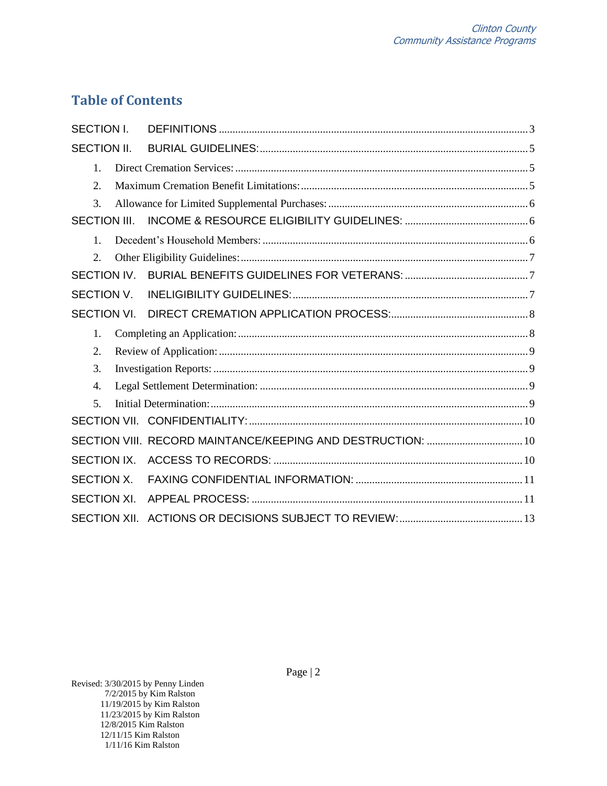# **Table of Contents**

| <b>SECTION I.</b>   |  |                                                             |  |
|---------------------|--|-------------------------------------------------------------|--|
| <b>SECTION II.</b>  |  |                                                             |  |
| 1.                  |  |                                                             |  |
| 2.                  |  |                                                             |  |
| 3.                  |  |                                                             |  |
| <b>SECTION III.</b> |  |                                                             |  |
| $\mathbf{1}$        |  |                                                             |  |
| $\overline{2}$ .    |  |                                                             |  |
| SECTION IV.         |  |                                                             |  |
| <b>SECTION V.</b>   |  |                                                             |  |
| <b>SECTION VI.</b>  |  |                                                             |  |
| $\mathbf{1}$ .      |  |                                                             |  |
| 2.                  |  |                                                             |  |
| 3.                  |  |                                                             |  |
| 4.                  |  |                                                             |  |
| 5 <sub>1</sub>      |  |                                                             |  |
|                     |  |                                                             |  |
|                     |  | SECTION VIII. RECORD MAINTANCE/KEEPING AND DESTRUCTION:  10 |  |
| SECTION IX.         |  |                                                             |  |
| SECTION X.          |  |                                                             |  |
| <b>SECTION XI.</b>  |  |                                                             |  |
|                     |  |                                                             |  |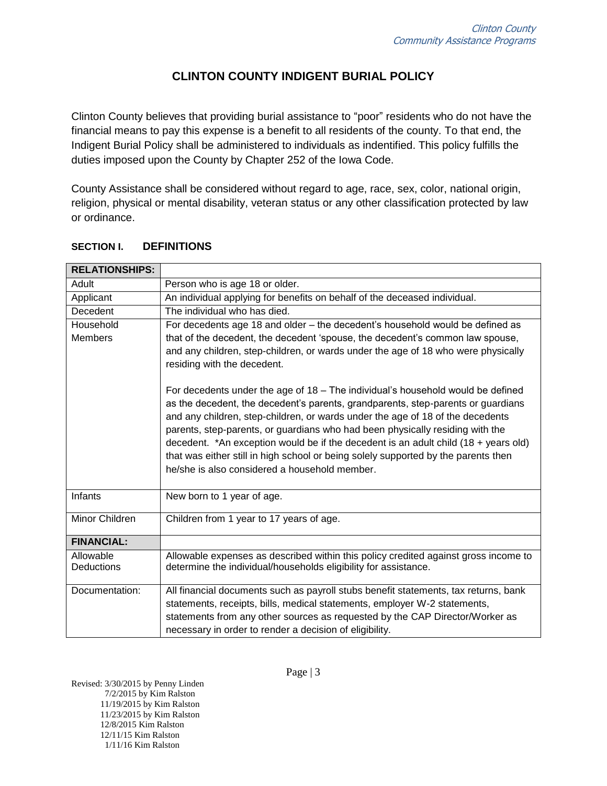# **CLINTON COUNTY INDIGENT BURIAL POLICY**

Clinton County believes that providing burial assistance to "poor" residents who do not have the financial means to pay this expense is a benefit to all residents of the county. To that end, the Indigent Burial Policy shall be administered to individuals as indentified. This policy fulfills the duties imposed upon the County by Chapter 252 of the Iowa Code.

County Assistance shall be considered without regard to age, race, sex, color, national origin, religion, physical or mental disability, veteran status or any other classification protected by law or ordinance.

| <b>RELATIONSHIPS:</b>       |                                                                                                                                                                                                                                                                                                                                                                                                                                                                                                                                                                               |
|-----------------------------|-------------------------------------------------------------------------------------------------------------------------------------------------------------------------------------------------------------------------------------------------------------------------------------------------------------------------------------------------------------------------------------------------------------------------------------------------------------------------------------------------------------------------------------------------------------------------------|
| Adult                       | Person who is age 18 or older.                                                                                                                                                                                                                                                                                                                                                                                                                                                                                                                                                |
| Applicant                   | An individual applying for benefits on behalf of the deceased individual.                                                                                                                                                                                                                                                                                                                                                                                                                                                                                                     |
| Decedent                    | The individual who has died.                                                                                                                                                                                                                                                                                                                                                                                                                                                                                                                                                  |
| Household<br><b>Members</b> | For decedents age 18 and older - the decedent's household would be defined as<br>that of the decedent, the decedent 'spouse, the decedent's common law spouse,<br>and any children, step-children, or wards under the age of 18 who were physically<br>residing with the decedent.                                                                                                                                                                                                                                                                                            |
|                             | For decedents under the age of 18 - The individual's household would be defined<br>as the decedent, the decedent's parents, grandparents, step-parents or guardians<br>and any children, step-children, or wards under the age of 18 of the decedents<br>parents, step-parents, or guardians who had been physically residing with the<br>decedent. *An exception would be if the decedent is an adult child $(18 + \text{years old})$<br>that was either still in high school or being solely supported by the parents then<br>he/she is also considered a household member. |
| Infants                     | New born to 1 year of age.                                                                                                                                                                                                                                                                                                                                                                                                                                                                                                                                                    |
| Minor Children              | Children from 1 year to 17 years of age.                                                                                                                                                                                                                                                                                                                                                                                                                                                                                                                                      |
| <b>FINANCIAL:</b>           |                                                                                                                                                                                                                                                                                                                                                                                                                                                                                                                                                                               |
| Allowable<br>Deductions     | Allowable expenses as described within this policy credited against gross income to<br>determine the individual/households eligibility for assistance.                                                                                                                                                                                                                                                                                                                                                                                                                        |
| Documentation:              | All financial documents such as payroll stubs benefit statements, tax returns, bank<br>statements, receipts, bills, medical statements, employer W-2 statements,<br>statements from any other sources as requested by the CAP Director/Worker as<br>necessary in order to render a decision of eligibility.                                                                                                                                                                                                                                                                   |

#### <span id="page-2-0"></span>**SECTION I. DEFINITIONS**

Revised: 3/30/2015 by Penny Linden 7/2/2015 by Kim Ralston 11/19/2015 by Kim Ralston 11/23/2015 by Kim Ralston 12/8/2015 Kim Ralston 12/11/15 Kim Ralston 1/11/16 Kim Ralston

Page | 3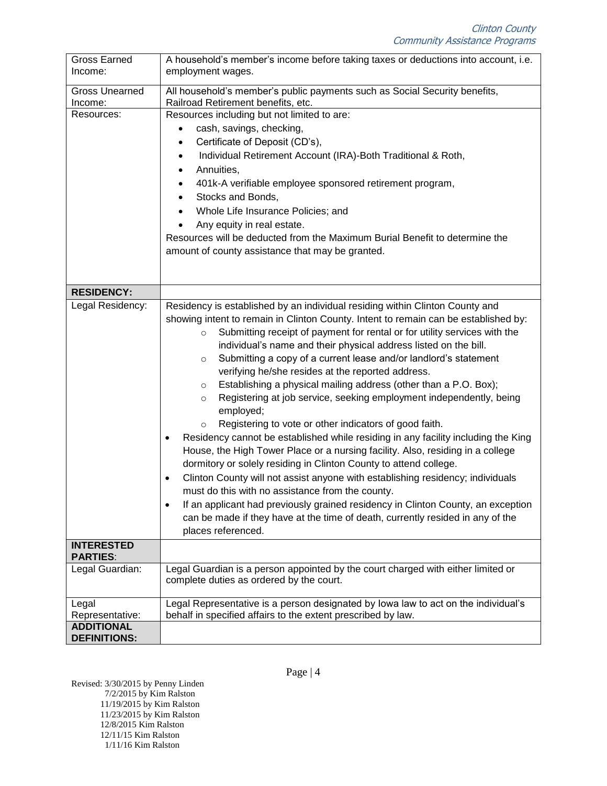| <b>Gross Earned</b><br>Income:           | A household's member's income before taking taxes or deductions into account, i.e.<br>employment wages.                                                                                                                                                                                                                                                                                                                                                                                                                                                                                                                                                                                                                                                                                                                                                                                                                                                                                                                                                                                                                                                                                                                                                                                                                        |
|------------------------------------------|--------------------------------------------------------------------------------------------------------------------------------------------------------------------------------------------------------------------------------------------------------------------------------------------------------------------------------------------------------------------------------------------------------------------------------------------------------------------------------------------------------------------------------------------------------------------------------------------------------------------------------------------------------------------------------------------------------------------------------------------------------------------------------------------------------------------------------------------------------------------------------------------------------------------------------------------------------------------------------------------------------------------------------------------------------------------------------------------------------------------------------------------------------------------------------------------------------------------------------------------------------------------------------------------------------------------------------|
| <b>Gross Unearned</b><br>Income:         | All household's member's public payments such as Social Security benefits,<br>Railroad Retirement benefits, etc.                                                                                                                                                                                                                                                                                                                                                                                                                                                                                                                                                                                                                                                                                                                                                                                                                                                                                                                                                                                                                                                                                                                                                                                                               |
| Resources:                               | Resources including but not limited to are:<br>cash, savings, checking,<br>$\bullet$<br>Certificate of Deposit (CD's),<br>$\bullet$<br>Individual Retirement Account (IRA)-Both Traditional & Roth,<br>$\bullet$<br>Annuities,<br>$\bullet$<br>401k-A verifiable employee sponsored retirement program,<br>$\bullet$<br>Stocks and Bonds,<br>$\bullet$<br>Whole Life Insurance Policies; and<br>$\bullet$<br>Any equity in real estate.<br>Resources will be deducted from the Maximum Burial Benefit to determine the<br>amount of county assistance that may be granted.                                                                                                                                                                                                                                                                                                                                                                                                                                                                                                                                                                                                                                                                                                                                                     |
| <b>RESIDENCY:</b>                        |                                                                                                                                                                                                                                                                                                                                                                                                                                                                                                                                                                                                                                                                                                                                                                                                                                                                                                                                                                                                                                                                                                                                                                                                                                                                                                                                |
| Legal Residency:                         | Residency is established by an individual residing within Clinton County and<br>showing intent to remain in Clinton County. Intent to remain can be established by:<br>Submitting receipt of payment for rental or for utility services with the<br>$\circ$<br>individual's name and their physical address listed on the bill.<br>Submitting a copy of a current lease and/or landlord's statement<br>$\circ$<br>verifying he/she resides at the reported address.<br>Establishing a physical mailing address (other than a P.O. Box);<br>$\circ$<br>Registering at job service, seeking employment independently, being<br>$\circ$<br>employed;<br>Registering to vote or other indicators of good faith.<br>$\circ$<br>Residency cannot be established while residing in any facility including the King<br>$\bullet$<br>House, the High Tower Place or a nursing facility. Also, residing in a college<br>dormitory or solely residing in Clinton County to attend college.<br>Clinton County will not assist anyone with establishing residency; individuals<br>$\bullet$<br>must do this with no assistance from the county.<br>If an applicant had previously grained residency in Clinton County, an exception<br>can be made if they have at the time of death, currently resided in any of the<br>places referenced. |
| <b>INTERESTED</b><br><b>PARTIES:</b>     |                                                                                                                                                                                                                                                                                                                                                                                                                                                                                                                                                                                                                                                                                                                                                                                                                                                                                                                                                                                                                                                                                                                                                                                                                                                                                                                                |
| Legal Guardian:                          | Legal Guardian is a person appointed by the court charged with either limited or<br>complete duties as ordered by the court.                                                                                                                                                                                                                                                                                                                                                                                                                                                                                                                                                                                                                                                                                                                                                                                                                                                                                                                                                                                                                                                                                                                                                                                                   |
| Legal<br>Representative:                 | Legal Representative is a person designated by lowa law to act on the individual's<br>behalf in specified affairs to the extent prescribed by law.                                                                                                                                                                                                                                                                                                                                                                                                                                                                                                                                                                                                                                                                                                                                                                                                                                                                                                                                                                                                                                                                                                                                                                             |
| <b>ADDITIONAL</b><br><b>DEFINITIONS:</b> |                                                                                                                                                                                                                                                                                                                                                                                                                                                                                                                                                                                                                                                                                                                                                                                                                                                                                                                                                                                                                                                                                                                                                                                                                                                                                                                                |

Revised: 3/30/2015 by Penny Linden 7/2/2015 by Kim Ralston 11/19/2015 by Kim Ralston 11/23/2015 by Kim Ralston 12/8/2015 Kim Ralston 12/11/15 Kim Ralston 1/11/16 Kim Ralston

Page | 4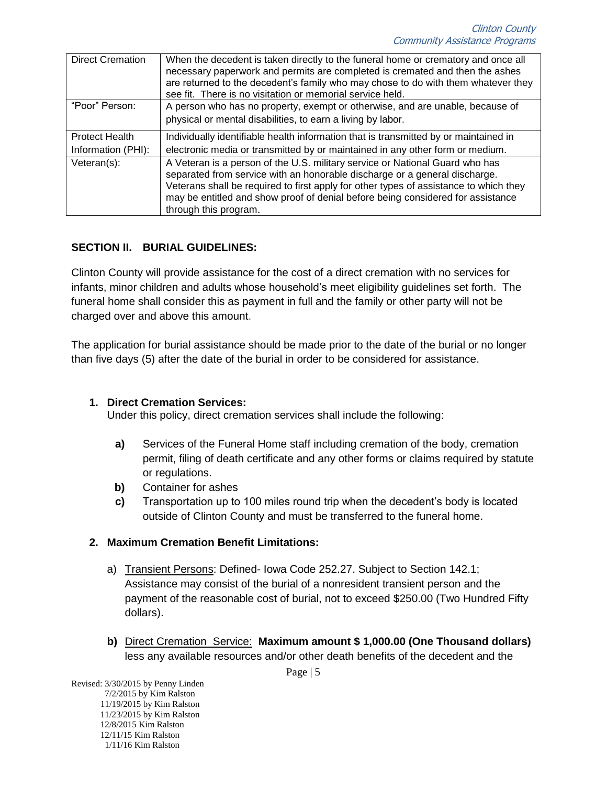| <b>Direct Cremation</b> | When the decedent is taken directly to the funeral home or crematory and once all<br>necessary paperwork and permits are completed is cremated and then the ashes<br>are returned to the decedent's family who may chose to do with them whatever they<br>see fit. There is no visitation or memorial service held.                                             |
|-------------------------|-----------------------------------------------------------------------------------------------------------------------------------------------------------------------------------------------------------------------------------------------------------------------------------------------------------------------------------------------------------------|
| "Poor" Person:          | A person who has no property, exempt or otherwise, and are unable, because of                                                                                                                                                                                                                                                                                   |
|                         | physical or mental disabilities, to earn a living by labor.                                                                                                                                                                                                                                                                                                     |
| <b>Protect Health</b>   | Individually identifiable health information that is transmitted by or maintained in                                                                                                                                                                                                                                                                            |
| Information (PHI):      | electronic media or transmitted by or maintained in any other form or medium.                                                                                                                                                                                                                                                                                   |
| Veteran(s):             | A Veteran is a person of the U.S. military service or National Guard who has<br>separated from service with an honorable discharge or a general discharge.<br>Veterans shall be required to first apply for other types of assistance to which they<br>may be entitled and show proof of denial before being considered for assistance<br>through this program. |

# <span id="page-4-0"></span>**SECTION II. BURIAL GUIDELINES:**

Clinton County will provide assistance for the cost of a direct cremation with no services for infants, minor children and adults whose household's meet eligibility guidelines set forth. The funeral home shall consider this as payment in full and the family or other party will not be charged over and above this amount.

The application for burial assistance should be made prior to the date of the burial or no longer than five days (5) after the date of the burial in order to be considered for assistance.

#### <span id="page-4-1"></span>**1. Direct Cremation Services:**

Under this policy, direct cremation services shall include the following:

- **a)** Services of the Funeral Home staff including cremation of the body, cremation permit, filing of death certificate and any other forms or claims required by statute or regulations.
- **b)** Container for ashes
- **c)** Transportation up to 100 miles round trip when the decedent's body is located outside of Clinton County and must be transferred to the funeral home.

# <span id="page-4-2"></span>**2. Maximum Cremation Benefit Limitations:**

- a) Transient Persons: Defined- Iowa Code 252.27. Subject to Section 142.1; Assistance may consist of the burial of a nonresident transient person and the payment of the reasonable cost of burial, not to exceed \$250.00 (Two Hundred Fifty dollars).
- **b)** Direct Cremation Service: **Maximum amount \$ 1,000.00 (One Thousand dollars)** less any available resources and/or other death benefits of the decedent and the

Page | 5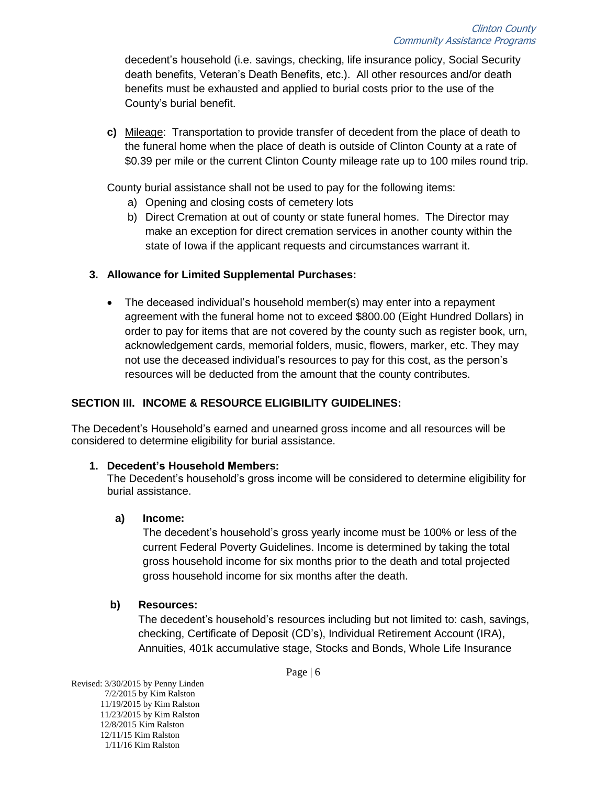decedent's household (i.e. savings, checking, life insurance policy, Social Security death benefits, Veteran's Death Benefits, etc.). All other resources and/or death benefits must be exhausted and applied to burial costs prior to the use of the County's burial benefit.

**c)** Mileage: Transportation to provide transfer of decedent from the place of death to the funeral home when the place of death is outside of Clinton County at a rate of \$0.39 per mile or the current Clinton County mileage rate up to 100 miles round trip.

County burial assistance shall not be used to pay for the following items:

- a) Opening and closing costs of cemetery lots
- b) Direct Cremation at out of county or state funeral homes. The Director may make an exception for direct cremation services in another county within the state of Iowa if the applicant requests and circumstances warrant it.

# <span id="page-5-0"></span>**3. Allowance for Limited Supplemental Purchases:**

• The deceased individual's household member(s) may enter into a repayment agreement with the funeral home not to exceed \$800.00 (Eight Hundred Dollars) in order to pay for items that are not covered by the county such as register book, urn, acknowledgement cards, memorial folders, music, flowers, marker, etc. They may not use the deceased individual's resources to pay for this cost, as the person's resources will be deducted from the amount that the county contributes.

# <span id="page-5-1"></span>**SECTION III. INCOME & RESOURCE ELIGIBILITY GUIDELINES:**

The Decedent's Household's earned and unearned gross income and all resources will be considered to determine eligibility for burial assistance.

# <span id="page-5-2"></span>**1. Decedent's Household Members:**

The Decedent's household's gross income will be considered to determine eligibility for burial assistance.

# **a) Income:**

The decedent's household's gross yearly income must be 100% or less of the current Federal Poverty Guidelines. Income is determined by taking the total gross household income for six months prior to the death and total projected gross household income for six months after the death.

# **b) Resources:**

The decedent's household's resources including but not limited to: cash, savings, checking, Certificate of Deposit (CD's), Individual Retirement Account (IRA), Annuities, 401k accumulative stage, Stocks and Bonds, Whole Life Insurance

Page | 6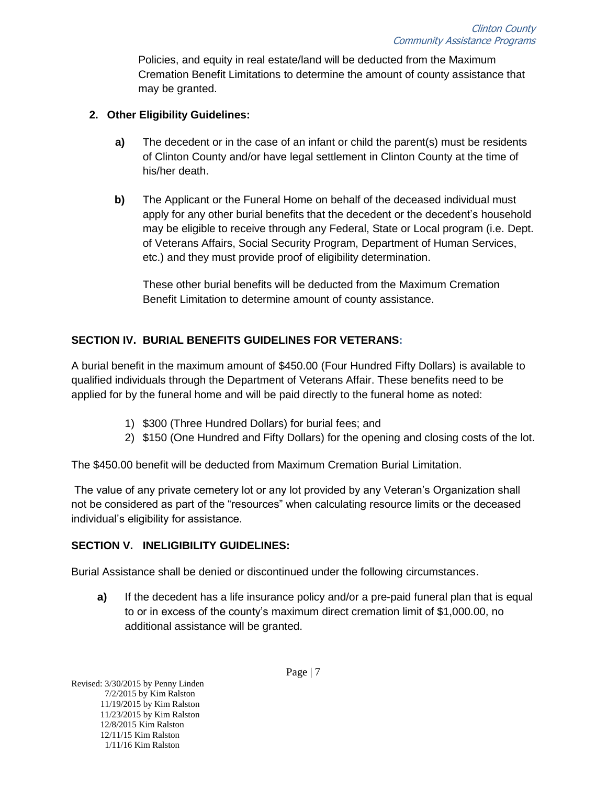Policies, and equity in real estate/land will be deducted from the Maximum Cremation Benefit Limitations to determine the amount of county assistance that may be granted.

#### <span id="page-6-0"></span>**2. Other Eligibility Guidelines:**

- **a)** The decedent or in the case of an infant or child the parent(s) must be residents of Clinton County and/or have legal settlement in Clinton County at the time of his/her death.
- **b)** The Applicant or the Funeral Home on behalf of the deceased individual must apply for any other burial benefits that the decedent or the decedent's household may be eligible to receive through any Federal, State or Local program (i.e. Dept. of Veterans Affairs, Social Security Program, Department of Human Services, etc.) and they must provide proof of eligibility determination.

These other burial benefits will be deducted from the Maximum Cremation Benefit Limitation to determine amount of county assistance.

# <span id="page-6-1"></span>**SECTION IV. BURIAL BENEFITS GUIDELINES FOR VETERANS:**

A burial benefit in the maximum amount of \$450.00 (Four Hundred Fifty Dollars) is available to qualified individuals through the Department of Veterans Affair. These benefits need to be applied for by the funeral home and will be paid directly to the funeral home as noted:

- 1) \$300 (Three Hundred Dollars) for burial fees; and
- 2) \$150 (One Hundred and Fifty Dollars) for the opening and closing costs of the lot.

The \$450.00 benefit will be deducted from Maximum Cremation Burial Limitation.

The value of any private cemetery lot or any lot provided by any Veteran's Organization shall not be considered as part of the "resources" when calculating resource limits or the deceased individual's eligibility for assistance.

#### <span id="page-6-2"></span>**SECTION V. INELIGIBILITY GUIDELINES:**

Burial Assistance shall be denied or discontinued under the following circumstances.

**a)** If the decedent has a life insurance policy and/or a pre-paid funeral plan that is equal to or in excess of the county's maximum direct cremation limit of \$1,000.00, no additional assistance will be granted.

Revised: 3/30/2015 by Penny Linden 7/2/2015 by Kim Ralston 11/19/2015 by Kim Ralston 11/23/2015 by Kim Ralston 12/8/2015 Kim Ralston 12/11/15 Kim Ralston 1/11/16 Kim Ralston

Page | 7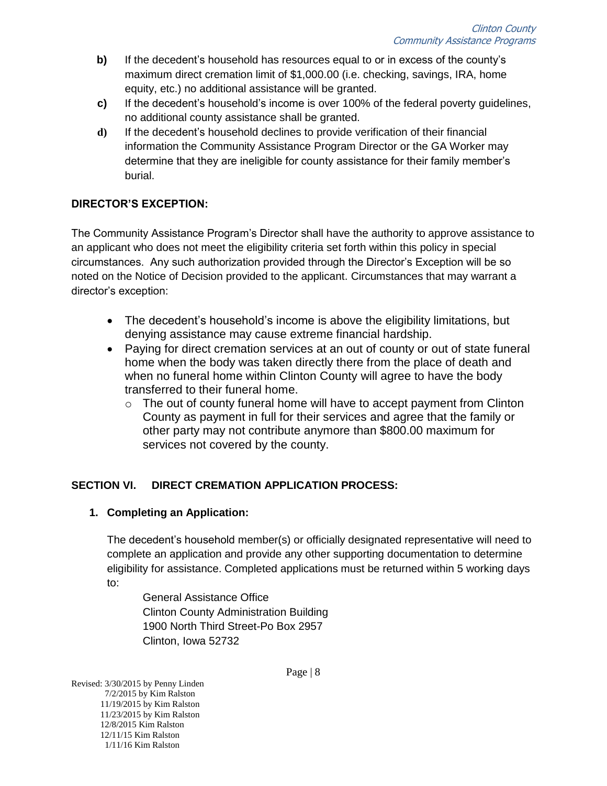- **b)** If the decedent's household has resources equal to or in excess of the county's maximum direct cremation limit of \$1,000.00 (i.e. checking, savings, IRA, home equity, etc.) no additional assistance will be granted.
- **c)** If the decedent's household's income is over 100% of the federal poverty guidelines, no additional county assistance shall be granted.
- **d)** If the decedent's household declines to provide verification of their financial information the Community Assistance Program Director or the GA Worker may determine that they are ineligible for county assistance for their family member's burial.

# **DIRECTOR'S EXCEPTION:**

The Community Assistance Program's Director shall have the authority to approve assistance to an applicant who does not meet the eligibility criteria set forth within this policy in special circumstances. Any such authorization provided through the Director's Exception will be so noted on the Notice of Decision provided to the applicant. Circumstances that may warrant a director's exception:

- The decedent's household's income is above the eligibility limitations, but denying assistance may cause extreme financial hardship.
- Paying for direct cremation services at an out of county or out of state funeral home when the body was taken directly there from the place of death and when no funeral home within Clinton County will agree to have the body transferred to their funeral home.
	- $\circ$  The out of county funeral home will have to accept payment from Clinton County as payment in full for their services and agree that the family or other party may not contribute anymore than \$800.00 maximum for services not covered by the county.

# <span id="page-7-0"></span>**SECTION VI. DIRECT CREMATION APPLICATION PROCESS:**

# <span id="page-7-1"></span>**1. Completing an Application:**

The decedent's household member(s) or officially designated representative will need to complete an application and provide any other supporting documentation to determine eligibility for assistance. Completed applications must be returned within 5 working days to:

General Assistance Office Clinton County Administration Building 1900 North Third Street-Po Box 2957 Clinton, Iowa 52732

Page | 8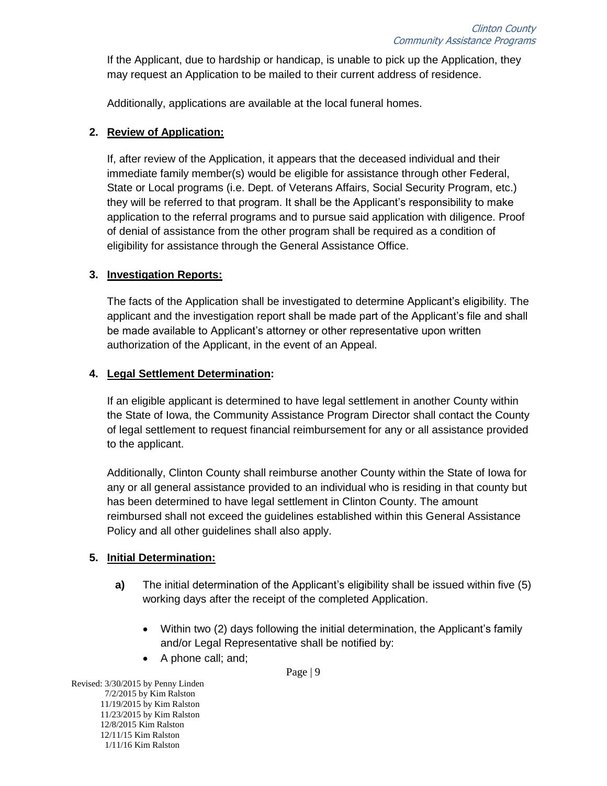If the Applicant, due to hardship or handicap, is unable to pick up the Application, they may request an Application to be mailed to their current address of residence.

Additionally, applications are available at the local funeral homes.

# <span id="page-8-0"></span>**2. Review of Application:**

If, after review of the Application, it appears that the deceased individual and their immediate family member(s) would be eligible for assistance through other Federal, State or Local programs (i.e. Dept. of Veterans Affairs, Social Security Program, etc.) they will be referred to that program. It shall be the Applicant's responsibility to make application to the referral programs and to pursue said application with diligence. Proof of denial of assistance from the other program shall be required as a condition of eligibility for assistance through the General Assistance Office.

#### <span id="page-8-1"></span>**3. Investigation Reports:**

The facts of the Application shall be investigated to determine Applicant's eligibility. The applicant and the investigation report shall be made part of the Applicant's file and shall be made available to Applicant's attorney or other representative upon written authorization of the Applicant, in the event of an Appeal.

#### <span id="page-8-2"></span>**4. Legal Settlement Determination:**

If an eligible applicant is determined to have legal settlement in another County within the State of Iowa, the Community Assistance Program Director shall contact the County of legal settlement to request financial reimbursement for any or all assistance provided to the applicant.

Additionally, Clinton County shall reimburse another County within the State of Iowa for any or all general assistance provided to an individual who is residing in that county but has been determined to have legal settlement in Clinton County. The amount reimbursed shall not exceed the guidelines established within this General Assistance Policy and all other guidelines shall also apply.

# <span id="page-8-3"></span>**5. Initial Determination:**

- **a)** The initial determination of the Applicant's eligibility shall be issued within five (5) working days after the receipt of the completed Application.
	- Within two (2) days following the initial determination, the Applicant's family and/or Legal Representative shall be notified by:
	- A phone call; and;

Page | 9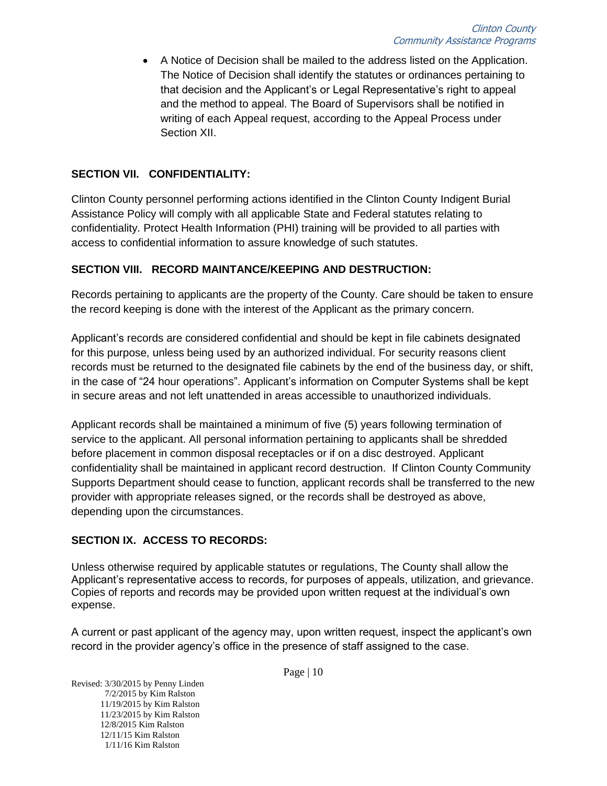A Notice of Decision shall be mailed to the address listed on the Application. The Notice of Decision shall identify the statutes or ordinances pertaining to that decision and the Applicant's or Legal Representative's right to appeal and the method to appeal. The Board of Supervisors shall be notified in writing of each Appeal request, according to the Appeal Process under Section XII.

#### <span id="page-9-0"></span>**SECTION VII. CONFIDENTIALITY:**

Clinton County personnel performing actions identified in the Clinton County Indigent Burial Assistance Policy will comply with all applicable State and Federal statutes relating to confidentiality. Protect Health Information (PHI) training will be provided to all parties with access to confidential information to assure knowledge of such statutes.

#### <span id="page-9-1"></span>**SECTION VIII. RECORD MAINTANCE/KEEPING AND DESTRUCTION:**

Records pertaining to applicants are the property of the County. Care should be taken to ensure the record keeping is done with the interest of the Applicant as the primary concern.

Applicant's records are considered confidential and should be kept in file cabinets designated for this purpose, unless being used by an authorized individual. For security reasons client records must be returned to the designated file cabinets by the end of the business day, or shift, in the case of "24 hour operations". Applicant's information on Computer Systems shall be kept in secure areas and not left unattended in areas accessible to unauthorized individuals.

Applicant records shall be maintained a minimum of five (5) years following termination of service to the applicant. All personal information pertaining to applicants shall be shredded before placement in common disposal receptacles or if on a disc destroyed. Applicant confidentiality shall be maintained in applicant record destruction. If Clinton County Community Supports Department should cease to function, applicant records shall be transferred to the new provider with appropriate releases signed, or the records shall be destroyed as above, depending upon the circumstances.

#### <span id="page-9-2"></span>**SECTION IX. ACCESS TO RECORDS:**

Unless otherwise required by applicable statutes or regulations, The County shall allow the Applicant's representative access to records, for purposes of appeals, utilization, and grievance. Copies of reports and records may be provided upon written request at the individual's own expense.

A current or past applicant of the agency may, upon written request, inspect the applicant's own record in the provider agency's office in the presence of staff assigned to the case.

Page | 10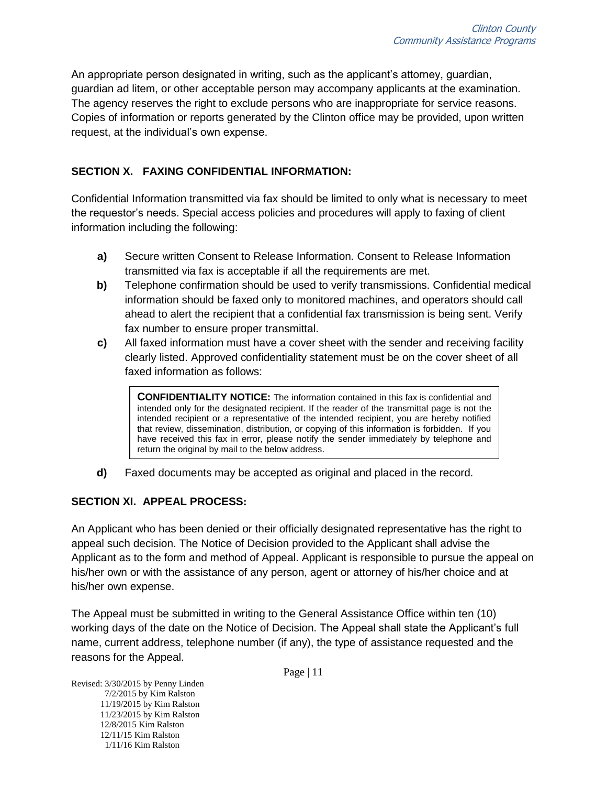An appropriate person designated in writing, such as the applicant's attorney, guardian, guardian ad litem, or other acceptable person may accompany applicants at the examination. The agency reserves the right to exclude persons who are inappropriate for service reasons. Copies of information or reports generated by the Clinton office may be provided, upon written request, at the individual's own expense.

# <span id="page-10-0"></span>**SECTION X. FAXING CONFIDENTIAL INFORMATION:**

Confidential Information transmitted via fax should be limited to only what is necessary to meet the requestor's needs. Special access policies and procedures will apply to faxing of client information including the following:

- **a)** Secure written Consent to Release Information. Consent to Release Information transmitted via fax is acceptable if all the requirements are met.
- **b)** Telephone confirmation should be used to verify transmissions. Confidential medical information should be faxed only to monitored machines, and operators should call ahead to alert the recipient that a confidential fax transmission is being sent. Verify fax number to ensure proper transmittal.
- **c)** All faxed information must have a cover sheet with the sender and receiving facility clearly listed. Approved confidentiality statement must be on the cover sheet of all faxed information as follows:

**CONFIDENTIALITY NOTICE:** The information contained in this fax is confidential and intended only for the designated recipient. If the reader of the transmittal page is not the intended recipient or a representative of the intended recipient, you are hereby notified that review, dissemination, distribution, or copying of this information is forbidden. If you have received this fax in error, please notify the sender immediately by telephone and return the original by mail to the below address.

**d)** Faxed documents may be accepted as original and placed in the record.

#### <span id="page-10-1"></span>**SECTION XI. APPEAL PROCESS:**

An Applicant who has been denied or their officially designated representative has the right to appeal such decision. The Notice of Decision provided to the Applicant shall advise the Applicant as to the form and method of Appeal. Applicant is responsible to pursue the appeal on his/her own or with the assistance of any person, agent or attorney of his/her choice and at his/her own expense.

The Appeal must be submitted in writing to the General Assistance Office within ten (10) working days of the date on the Notice of Decision. The Appeal shall state the Applicant's full name, current address, telephone number (if any), the type of assistance requested and the reasons for the Appeal.

Page | 11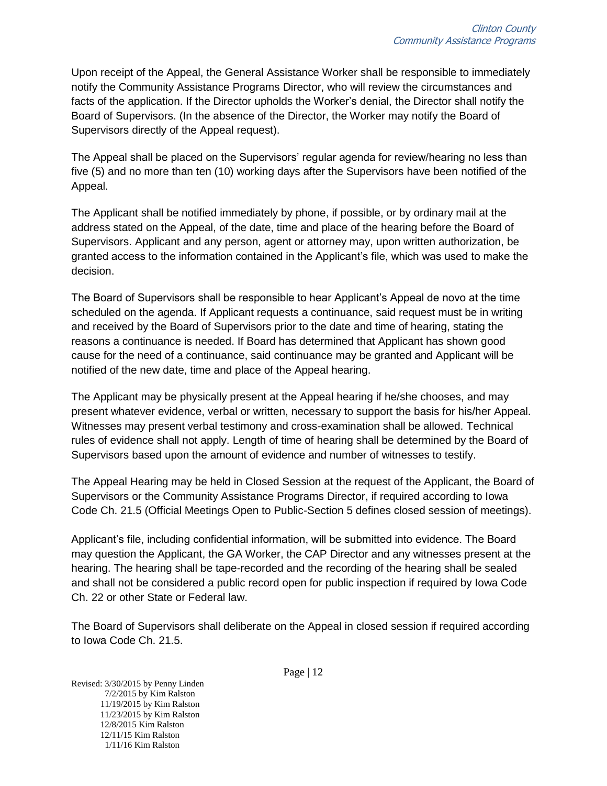Upon receipt of the Appeal, the General Assistance Worker shall be responsible to immediately notify the Community Assistance Programs Director, who will review the circumstances and facts of the application. If the Director upholds the Worker's denial, the Director shall notify the Board of Supervisors. (In the absence of the Director, the Worker may notify the Board of Supervisors directly of the Appeal request).

The Appeal shall be placed on the Supervisors' regular agenda for review/hearing no less than five (5) and no more than ten (10) working days after the Supervisors have been notified of the Appeal.

The Applicant shall be notified immediately by phone, if possible, or by ordinary mail at the address stated on the Appeal, of the date, time and place of the hearing before the Board of Supervisors. Applicant and any person, agent or attorney may, upon written authorization, be granted access to the information contained in the Applicant's file, which was used to make the decision.

The Board of Supervisors shall be responsible to hear Applicant's Appeal de novo at the time scheduled on the agenda. If Applicant requests a continuance, said request must be in writing and received by the Board of Supervisors prior to the date and time of hearing, stating the reasons a continuance is needed. If Board has determined that Applicant has shown good cause for the need of a continuance, said continuance may be granted and Applicant will be notified of the new date, time and place of the Appeal hearing.

The Applicant may be physically present at the Appeal hearing if he/she chooses, and may present whatever evidence, verbal or written, necessary to support the basis for his/her Appeal. Witnesses may present verbal testimony and cross-examination shall be allowed. Technical rules of evidence shall not apply. Length of time of hearing shall be determined by the Board of Supervisors based upon the amount of evidence and number of witnesses to testify.

The Appeal Hearing may be held in Closed Session at the request of the Applicant, the Board of Supervisors or the Community Assistance Programs Director, if required according to Iowa Code Ch. 21.5 (Official Meetings Open to Public-Section 5 defines closed session of meetings).

Applicant's file, including confidential information, will be submitted into evidence. The Board may question the Applicant, the GA Worker, the CAP Director and any witnesses present at the hearing. The hearing shall be tape-recorded and the recording of the hearing shall be sealed and shall not be considered a public record open for public inspection if required by Iowa Code Ch. 22 or other State or Federal law.

The Board of Supervisors shall deliberate on the Appeal in closed session if required according to Iowa Code Ch. 21.5.

Page | 12